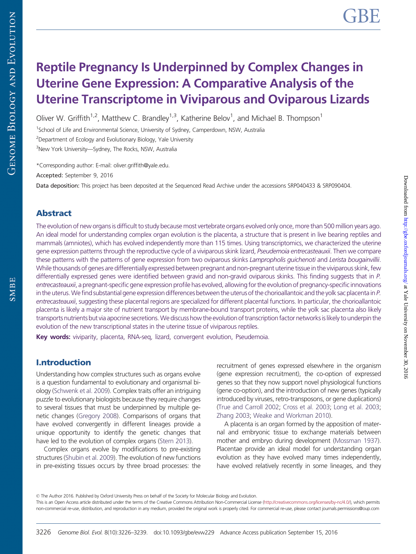# Reptile Pregnancy Is Underpinned by Complex Changes in Uterine Gene Expression: A Comparative Analysis of the Uterine Transcriptome in Viviparous and Oviparous Lizards

Oliver W. Griffith<sup>1,2</sup>, Matthew C. Brandley<sup>1,3</sup>, Katherine Belov<sup>1</sup>, and Michael B. Thompson<sup>1</sup>

<sup>1</sup>School of Life and Environmental Science, University of Sydney, Camperdown, NSW, Australia

<sup>2</sup> Department of Ecology and Evolutionary Biology, Yale University

<sup>3</sup>New York University—Sydney, The Rocks, NSW, Australia

\*Corresponding author: E-mail: oliver.griffith@yale.edu. Accepted: September 9, 2016 Data deposition: This project has been deposited at the Sequenced Read Archive under the accessions SRP040433 & SRP090404.

# Abstract

The evolution of new organs is difficult to study because most vertebrate organs evolved only once, more than 500 million years ago. An ideal model for understanding complex organ evolution is the placenta, a structure that is present in live bearing reptiles and mammals (amniotes), which has evolved independently more than 115 times. Using transcriptomics, we characterized the uterine gene expression patterns through the reproductive cycle of a viviparous skink lizard, Pseudemoia entrecasteauxii. Then we compare these patterns with the patterns of gene expression from two oviparous skinks Lampropholis guichenoti and Lerista bougainvillii. While thousands of genes are differentially expressed between pregnant and non-pregnant uterine tissue in the viviparous skink, few differentially expressed genes were identified between gravid and non-gravid oviparous skinks. This finding suggests that in P. entrecasteauxii, a pregnant-specific gene expression profile has evolved, allowing for the evolution of pregnancy-specific innovations in the uterus. We find substantial gene expression differences between the uterus of the chorioallantoic and the yolk sac placenta in P. entrecasteauxii, suggesting these placental regions are specialized for different placental functions. In particular, the chorioallantoic placenta is likely a major site of nutrient transport by membrane-bound transport proteins, while the yolk sac placenta also likely transports nutrients but via apocrine secretions. We discuss how the evolution of transcription factor networks is likely to underpin the evolution of the new transcriptional states in the uterine tissue of viviparous reptiles.

Key words: viviparity, placenta, RNA-seq, lizard, convergent evolution, Pseudemoia.

# I.ntroduction

Understanding how complex structures such as organs evolve is a question fundamental to evolutionary and organismal biology [\(Schwenk et al. 2009\)](#page-13-0). Complex traits offer an intriguing puzzle to evolutionary biologists because they require changes to several tissues that must be underpinned by multiple genetic changes [\(Gregory 2008](#page-12-0)). Comparisons of organs that have evolved convergently in different lineages provide a unique opportunity to identify the genetic changes that have led to the evolution of complex organs ([Stern 2013\)](#page-13-0).

Complex organs evolve by modifications to pre-existing structures ([Shubin et al. 2009\)](#page-13-0). The evolution of new functions in pre-existing tissues occurs by three broad processes: the

recruitment of genes expressed elsewhere in the organism (gene expression recruitment), the co-option of expressed genes so that they now support novel physiological functions (gene co-option), and the introduction of new genes (typically introduced by viruses, retro-transposons, or gene duplications) ([True and Carroll 2002;](#page-13-0) [Cross et al. 2003](#page-12-0); [Long et al. 2003](#page-12-0); [Zhang 2003](#page-13-0); [Weake and Workman 2010](#page-13-0)).

A placenta is an organ formed by the apposition of maternal and embryonic tissue to exchange materials between mother and embryo during development [\(Mossman 1937\)](#page-12-0). Placentae provide an ideal model for understanding organ evolution as they have evolved many times independently, have evolved relatively recently in some lineages, and they

© The Author 2016. Published by Oxford University Press on behalf of the Society for Molecular Biology and Evolution.

**GENOME BIOLOGY AND EVOLUTION** 

This is an Open Access article distributed under the terms of the Creative Commons Attribution Non-Commercial License [\(http://creativecommons.org/licenses/by-nc/4.0/](http://creativecommons.org/licenses/by-nc/4.0/)), which permits non-commercial re-use, distribution, and reproduction in any medium, provided the original work is properly cited. For commercial re-use, please contact journals.permissions@oup.com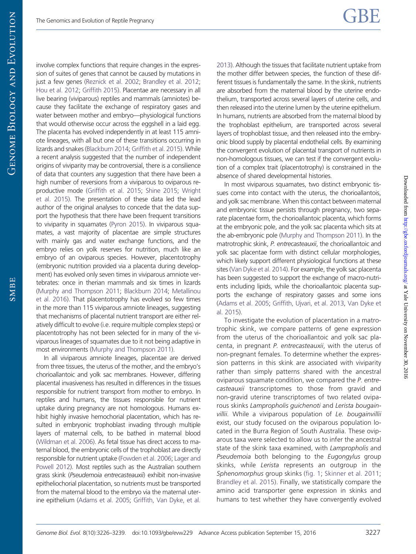involve complex functions that require changes in the expression of suites of genes that cannot be caused by mutations in just a few genes [\(Reznick et al. 2002](#page-12-0); [Brandley et al. 2012;](#page-12-0) [Hou et al. 2012;](#page-12-0) [Griffith 2015](#page-12-0)). Placentae are necessary in all live bearing (viviparous) reptiles and mammals (amniotes) because they facilitate the exchange of respiratory gases and water between mother and embryo—physiological functions that would otherwise occur across the eggshell in a laid egg. The placenta has evolved independently in at least 115 amniote lineages, with all but one of these transitions occurring in lizards and snakes [\(Blackburn 2014](#page-12-0); [Griffith et al. 2015](#page-12-0)). While a recent analysis suggested that the number of independent origins of viviparity may be controversial, there is a consilience of data that counters any suggestion that there have been a high number of reversions from a viviparous to oviparous reproductive mode [\(Griffith et al. 2015;](#page-12-0) [Shine 2015;](#page-13-0) [Wright](#page-13-0) [et al. 2015\)](#page-13-0). The presentation of these data led the lead author of the original analyses to concede that the data support the hypothesis that there have been frequent transitions to viviparity in squamates [\(Pyron 2015\)](#page-12-0). In viviparous squamates, a vast majority of placentae are simple structures with mainly gas and water exchange functions, and the embryo relies on yolk reserves for nutrition, much like an embryo of an oviparous species. However, placentotrophy (embryonic nutrition provided via a placenta during development) has evolved only seven times in viviparous amniote vertebrates: once in therian mammals and six times in lizards [\(Murphy and Thompson 2011;](#page-12-0) [Blackburn 2014;](#page-12-0) [Metallinou](#page-12-0) [et al. 2016\)](#page-12-0). That placentotrophy has evolved so few times in the more than 115 viviparous amniote lineages, suggesting that mechanisms of placental nutrient transport are either relatively difficult to evolve (i.e. require multiple complex steps) or placentotrophy has not been selected for in many of the viviparous lineages of squamates due to it not being adaptive in most environments [\(Murphy and Thompson 2011](#page-12-0)).

In all viviparous amniote lineages, placentae are derived from three tissues, the uterus of the mother, and the embryo's chorioallantoic and yolk sac membranes. However, differing placental invasiveness has resulted in differences in the tissues responsible for nutrient transport from mother to embryo. In reptiles and humans, the tissues responsible for nutrient uptake during pregnancy are not homologous. Humans exhibit highly invasive hemochorial placentation, which has resulted in embryonic trophoblast invading through multiple layers of maternal cells, to be bathed in maternal blood [\(Wildman et al. 2006\)](#page-13-0). As fetal tissue has direct access to maternal blood, the embryonic cells of the trophoblast are directly responsible for nutrient uptake [\(Fowden et al. 2006](#page-12-0); [Lager and](#page-12-0) [Powell 2012](#page-12-0)). Most reptiles such as the Australian southern grass skink (Pseudemoia entrecasteauxii) exhibit non-invasive epitheliochorial placentation, so nutrients must be transported from the maternal blood to the embryo via the maternal uterine epithelium [\(Adams et al. 2005](#page-11-0); [Griffith, Van Dyke, et al.](#page-12-0) [2013](#page-12-0)). Although the tissues that facilitate nutrient uptake from the mother differ between species, the function of these different tissues is fundamentally the same. In the skink, nutrients are absorbed from the maternal blood by the uterine endothelium, transported across several layers of uterine cells, and then released into the uterine lumen by the uterine epithelium. In humans, nutrients are absorbed from the maternal blood by the trophoblast epithelium, are transported across several layers of trophoblast tissue, and then released into the embryonic blood supply by placental endothelial cells. By examining the convergent evolution of placental transport of nutrients in non-homologous tissues, we can test if the convergent evolution of a complex trait (placentotrophy) is constrained in the absence of shared developmental histories.

In most viviparous squamates, two distinct embryonic tissues come into contact with the uterus, the chorioallantois, and yolk sac membrane. When this contact between maternal and embryonic tissue persists through pregnancy, two separate placentae form, the chorioallantoic placenta, which forms at the embryonic pole, and the yolk sac placenta which sits at the ab-embryonic pole [\(Murphy and Thompson 2011](#page-12-0)). In the matrotrophic skink, P. entrecasteauxii, the chorioallantoic and yolk sac placentae form with distinct cellular morphologies, which likely support different physiological functions at these sites [\(Van Dyke et al. 2014\)](#page-13-0). For example, the yolk sac placenta has been suggested to support the exchange of macro-nutrients including lipids, while the chorioallantoic placenta supports the exchange of respiratory gasses and some ions ([Adams et al. 2005](#page-11-0); [Griffith, Ujvari, et al. 2013](#page-12-0), [Van Dyke et](#page-13-0) [al. 2015](#page-13-0)).

To investigate the evolution of placentation in a matrotrophic skink, we compare patterns of gene expression from the uterus of the chorioallantoic and yolk sac placenta, in pregnant P. entrecasteauxii, with the uterus of non-pregnant females. To determine whether the expression patterns in this skink are associated with viviparity rather than simply patterns shared with the ancestral oviparous squamate condition, we compared the P. entrecasteauxii transcriptomes to those from gravid and non-gravid uterine transcriptomes of two related oviparous skinks Lampropholis guichenoti and Lerista bougainvillii. While a viviparous population of Le. bougainvillii exist, our study focused on the oviparous population located in the Burra Region of South Australia. These oviparous taxa were selected to allow us to infer the ancestral state of the skink taxa examined, with Lampropholis and Pseudemoia both belonging to the Eugongylus group skinks, while Lerista represents an outgroup in the Sphenomorphus group skinks ([fig. 1](#page-2-0); [Skinner et al. 2011](#page-13-0); [Brandley et al. 2015\)](#page-12-0). Finally, we statistically compare the amino acid transporter gene expression in skinks and humans to test whether they have convergently evolved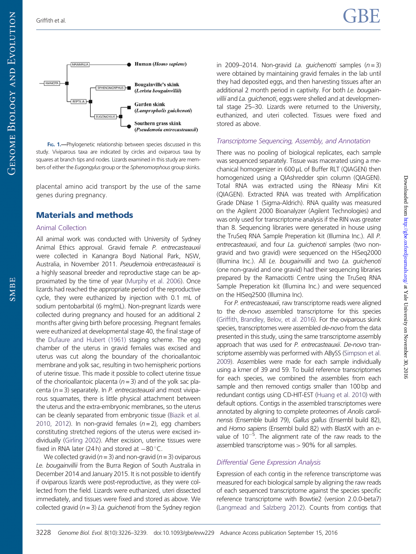<span id="page-2-0"></span>

FIG. 1.-Phylogenetic relationship between species discussed in this study. Viviparous taxa are indicated by circles and oviparous taxa by squares at branch tips and nodes. Lizards examined in this study are members of either the Eugongylus group or the Sphenomorphous group skinks.

placental amino acid transport by the use of the same genes during pregnancy.

## Materials and methods

#### Animal Collection

All animal work was conducted with University of Sydney Animal Ethics approval. Gravid female P. entrecasteauxii were collected in Kanangra Boyd National Park, NSW, Australia, in November 2011. Pseudemoia entrecasteauxii is a highly seasonal breeder and reproductive stage can be approximated by the time of year [\(Murphy et al. 2006\)](#page-12-0). Once lizards had reached the appropriate period of the reproductive cycle, they were euthanized by injection with 0.1 mL of sodium pentobarbital (6 mg/mL). Non-pregnant lizards were collected during pregnancy and housed for an additional 2 months after giving birth before processing. Pregnant females were euthanized at developmental stage 40, the final stage of the [Dufaure and Hubert \(1961\)](#page-12-0) staging scheme. The egg chamber of the uterus in gravid females was excised and uterus was cut along the boundary of the chorioallantoic membrane and yolk sac, resulting in two hemispheric portions of uterine tissue. This made it possible to collect uterine tissue of the chorioallantoic placenta ( $n=3$ ) and of the yolk sac placenta ( $n = 3$ ) separately. In P. entrecasteauxii and most viviparous squamates, there is little physical attachment between the uterus and the extra-embryonic membranes, so the uterus can be cleanly separated from embryonic tissue ([Biazik et al.](#page-12-0) [2010](#page-12-0)[, 2012](#page-11-0)). In non-gravid females  $(n=2)$ , egg chambers constituting stretched regions of the uterus were excised individually [\(Girling 2002\)](#page-12-0). After excision, uterine tissues were fixed in RNA later (24 h) and stored at  $-80^{\circ}$ C.

We collected gravid ( $n = 3$ ) and non-gravid ( $n = 3$ ) oviparous Le. bougainvillii from the Burra Region of South Australia in December 2014 and January 2015. It is not possible to identify if oviparous lizards were post-reproductive, as they were collected from the field. Lizards were euthanized, uteri dissected immediately, and tissues were fixed and stored as above. We collected gravid  $(n = 3)$  La. guichenoti from the Sydney region in 2009–2014. Non-gravid La. quichenotti samples  $(n=3)$ were obtained by maintaining gravid females in the lab until they had deposited eggs, and then harvesting tissues after an additional 2 month period in captivity. For both Le. bougainvillii and La. guichenoti, eggs were shelled and at developmental stage 25–30. Lizards were returned to the University, euthanized, and uteri collected. Tissues were fixed and stored as above.

#### Transcriptome Sequencing, Assembly, and Annotation

There was no pooling of biological replicates, each sample was sequenced separately. Tissue was macerated using a mechanical homogenizer in  $600 \mu$ L of Buffer RLT (QIAGEN) then homogenized using a QIAshredder spin column (QIAGEN). Total RNA was extracted using the RNeasy Mini Kit (QIAGEN). Extracted RNA was treated with Amplification Grade DNase 1 (Sigma-Aldrich). RNA quality was measured on the Agilent 2000 Bioanalyzer (Agilent Technologies) and was only used for transcriptome analysis if the RIN was greater than 8. Sequencing libraries were generated in house using the TruSeq RNA Sample Preperation kit (Illumina Inc.). All P. entrecasteauxii, and four La. quichenoti samples (two nongravid and two gravid) were sequenced on the HiSeq2000 (Illumina Inc.). All Le. bougainvillii and two La. guichenoti (one non-gravid and one gravid) had their sequencing libraries prepared by the Ramaciotti Centre using the TruSeq RNA Sample Preperation kit (Illumina Inc.) and were sequenced on the HISeq2500 (Illumina Inc).

For P. entrecasteauxii, raw transcriptome reads were aligned to the de-novo assembled transcriptome for this species ([Griffith, Brandley, Belov, et al. 2016\)](#page-12-0). For the oviparous skink species, transcriptomes were assembled de-novo from the data presented in this study, using the same transcriptome assembly approach that was used for P. entrecasteauxii. De-novo transcriptome assembly was performed with ABySS [\(Simpson et al.](#page-13-0) [2009](#page-13-0)). Assemblies were made for each sample individually using a kmer of 39 and 59. To build reference transcriptomes for each species, we combined the assemblies from each sample and then removed contigs smaller than 100 bp and redundant contigs using CD-HIT-EST [\(Huang et al. 2010\)](#page-12-0) with default options. Contigs in the assembled transcriptomes were annotated by aligning to complete proteomes of Anolis carolinensis (Ensemble build 79), Gallus gallus (Ensembl build 82), and Homo sapiens (Ensembl build 82) with BlastX with an evalue of  $10^{-5}$ . The alignment rate of the raw reads to the assembled transcriptome was> 90% for all samples.

#### Differential Gene Expression Analysis

Expression of each contig in the reference transcriptome was measured for each biological sample by aligning the raw reads of each sequenced transcriptome against the species specific reference transcriptome with Bowtie2 (version 2.0.0-beta7) ([Langmead and Salzberg 2012\)](#page-12-0). Counts from contigs that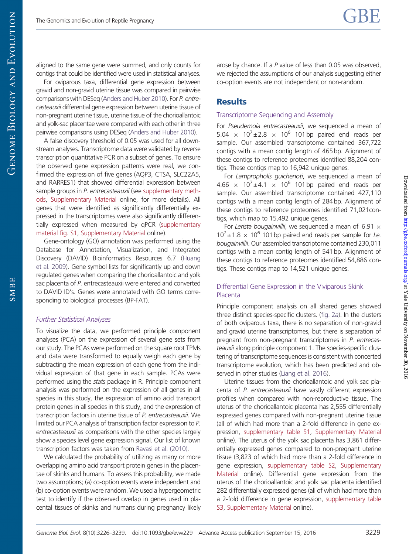aligned to the same gene were summed, and only counts for contigs that could be identified were used in statistical analyses.

For oviparous taxa, differential gene expression between gravid and non-gravid uterine tissue was compared in pairwise comparisons with DESeq [\(Anders and Huber 2010](#page-11-0)). For P. entrecasteauxii differential gene expression between uterine tissue of non-pregnant uterine tissue, uterine tissue of the chorioallantoic and yolk-sac placentae were compared with each other in three pairwise comparisons using DESeq [\(Anders and Huber 2010\)](#page-11-0).

A false discovery threshold of 0.05 was used for all downstream analyses. Transcriptome data were validated by reverse transcription quantitative PCR on a subset of genes. To ensure the observed gene expression patterns were real, we confirmed the expression of five genes (AQP3, CTSA, SLC22A5, and RARRES1) that showed differential expression between sample groups in P. entrecasteauxii (see [supplementary meth](http://gbe.oxfordjournals.org/lookup/suppl/doi:10.1093/gbe/evw229/-/DC1)[ods](http://gbe.oxfordjournals.org/lookup/suppl/doi:10.1093/gbe/evw229/-/DC1), [Supplementary Material](http://gbe.oxfordjournals.org/lookup/suppl/doi:10.1093/gbe/evw229/-/DC1) online, for more details). All genes that were identified as significantly differentially expressed in the transcriptomes were also significantly differentially expressed when measured by qPCR ([supplementary](http://gbe.oxfordjournals.org/lookup/suppl/doi:10.1093/gbe/evw229/-/DC1) [material fig. S1](http://gbe.oxfordjournals.org/lookup/suppl/doi:10.1093/gbe/evw229/-/DC1), [Supplementary Material](http://gbe.oxfordjournals.org/lookup/suppl/doi:10.1093/gbe/evw229/-/DC1) online).

Gene-ontology (GO) annotation was performed using the Database for Annotation, Visualization, and Integrated Discovery (DAVID) Bioinformatics Resources 6.7 [\(Huang](#page-12-0) [et al. 2009](#page-12-0)). Gene symbol lists for significantly up and down regulated genes when comparing the chorioallantoic and yolk sac placenta of P. entrecasteauxii were entered and converted to DAVID ID's. Genes were annotated with GO terms corresponding to biological processes (BP-FAT).

#### Further Statistical Analyses

To visualize the data, we performed principle component analyses (PCA) on the expression of several gene sets from our study. The PCAs were performed on the square root TPMs and data were transformed to equally weigh each gene by subtracting the mean expression of each gene from the individual expression of that gene in each sample. PCAs were performed using the stats package in R. Principle component analysis was performed on the expression of all genes in all species in this study, the expression of amino acid transport protein genes in all species in this study, and the expression of transcription factors in uterine tissue of P. entrecasteauxii. We limited our PCA analysis of transcription factor expression to P. entrecasteauxii as comparisons with the other species largely show a species level gene expression signal. Our list of known transcription factors was taken from [Ravasi et al. \(2010\)](#page-12-0).

We calculated the probability of utilizing as many or more overlapping amino acid transport protein genes in the placentae of skinks and humans. To assess this probability, we made two assumptions; (a) co-option events were independent and (b) co-option events were random. We used a hypergeometric test to identify if the observed overlap in genes used in placental tissues of skinks and humans during pregnancy likely arose by chance. If a P value of less than 0.05 was observed, we rejected the assumptions of our analysis suggesting either co-option events are not independent or non-random.

## Results

#### Transcriptome Sequencing and Assembly

For Pseudemoia entrecasteauxii, we sequenced a mean of 5.04  $\times$  10<sup>7</sup> ± 2.8  $\times$  10<sup>6</sup> 101 bp paired end reads per sample. Our assembled transcriptome contained 367,722 contigs with a mean contig length of 465 bp. Alignment of these contigs to reference proteomes identified 88,204 contigs. These contigs map to 16,942 unique genes.

For Lampropholis guichenoti, we sequenced a mean of 4.66  $\times$  10<sup>7</sup> ±4.1  $\times$  10<sup>6</sup> 101 bp paired end reads per sample. Our assembled transcriptome contained 427,110 contigs with a mean contig length of 284 bp. Alignment of these contigs to reference proteomes identified 71,021contigs, which map to 15,492 unique genes.

For Lerista bougainvillii, we sequenced a mean of 6.91  $\times$  $10^7 \pm 1.8 \times 10^6$  101 bp paired end reads per sample for Le. bougainvillii. Our assembled transcriptome contained 230,011 contigs with a mean contig length of 541 bp. Alignment of these contigs to reference proteomes identified 54,886 contigs. These contigs map to 14,521 unique genes.

## Differential Gene Expression in the Viviparous Skink Placenta

Principle component analysis on all shared genes showed three distinct species-specific clusters. [\(fig. 2](#page-4-0)a). In the clusters of both oviparous taxa, there is no separation of non-gravid and gravid uterine transcriptomes, but there is separation of pregnant from non-pregnant transcriptomes in P. entrecasteauxii along principle component 1. The species-specific clustering of transcriptome sequences is consistent with concerted transcriptome evolution, which has been predicted and observed in other studies [\(Liang et al. 2016\)](#page-12-0).

Uterine tissues from the chorioallantoic and yolk sac placenta of P. entrecasteauxii have vastly different expression profiles when compared with non-reproductive tissue. The uterus of the chorioallantoic placenta has 2,555 differentially expressed genes compared with non-pregnant uterine tissue (all of which had more than a 2-fold difference in gene expression, [supplementary table S1](http://gbe.oxfordjournals.org/lookup/suppl/doi:10.1093/gbe/evw229/-/DC1), [Supplementary Material](http://gbe.oxfordjournals.org/lookup/suppl/doi:10.1093/gbe/evw229/-/DC1) online). The uterus of the yolk sac placenta has 3,861 differentially expressed genes compared to non-pregnant uterine tissue (3,823 of which had more than a 2-fold difference in gene expression, [supplementary table S2,](http://gbe.oxfordjournals.org/lookup/suppl/doi:10.1093/gbe/evw229/-/DC1) [Supplementary](http://gbe.oxfordjournals.org/lookup/suppl/doi:10.1093/gbe/evw229/-/DC1) [Material](http://gbe.oxfordjournals.org/lookup/suppl/doi:10.1093/gbe/evw229/-/DC1) online). Differential gene expression from the uterus of the chorioallantoic and yolk sac placenta identified 282 differentially expressed genes (all of which had more than a 2-fold difference in gene expression, [supplementary table](http://gbe.oxfordjournals.org/lookup/suppl/doi:10.1093/gbe/evw229/-/DC1) [S3,](http://gbe.oxfordjournals.org/lookup/suppl/doi:10.1093/gbe/evw229/-/DC1) [Supplementary Material](http://gbe.oxfordjournals.org/lookup/suppl/doi:10.1093/gbe/evw229/-/DC1) online).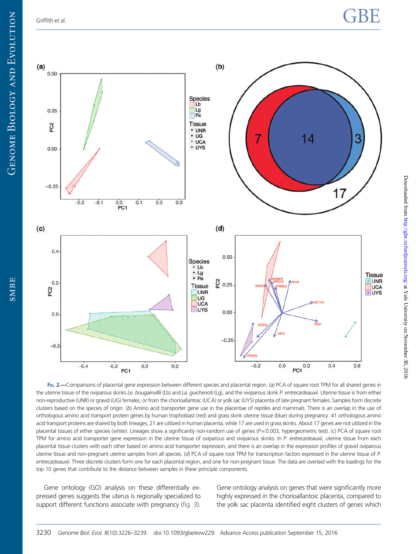Downloaded from <http://gbe.oxfordjournals.org/> at Yale University on November 30, 2016

Downloaded from http://gbe.oxfordjournals.org/ at Y ale University on November 30, 2016

<span id="page-4-0"></span>

FIG. 2.—Comparisons of placental gene expression between different species and placental region. (a) PCA of square root TPM for all shared genes in the uterine tissue of the oviparous skinks Le. bougainvillii (Lb) and La. guichenoti (Lg), and the viviparous skink P. entrecasteauxii. Uterine tissue is from either non-reproductive (UNR) or gravid (UG) females, or from the chorioallantoic (UCA) or yolk sac (UYS) placenta of late pregnant females. Samples form discrete clusters based on the species of origin. (b) Amino acid transporter gene use in the placentae of reptiles and mammals. There is an overlap in the use of orthologous amino acid transport protein genes by human trophoblast (red) and grass skink uterine tissue (blue) during pregnancy. 41 orthologous amino acid transport proteins are shared by both lineages, 21 are utilized in human placenta, while 17 are used in grass skinks. About 17 genes are not utilized in the placental tissues of either species (white). Lineages show a significantly non-random use of genes (P= 0.003, hypergeometric test). (c) PCA of square root TPM for amino acid transporter gene expression in the uterine tissue of oviparous and viviparous skinks. In P. entrecasteauxii, uterine tissue from each placental tissue clusters with each other based on amino acid transporter expression, and there is an overlap in the expression profiles of gravid oviparous uterine tissue and non-pregnant uterine samples from all species. (d) PCA of square root TPM for transcription factors expressed in the uterine tissue of P. entrecasteauxii. Three discrete clusters form one for each placental region, and one for non-pregnant tissue. The data are overlaid with the loadings for the top 10 genes that contribute to the distance between samples in these principle components.

Gene ontology (GO) analysis on these differentially expressed genes suggests the uterus is regionally specialized to support different functions associate with pregnancy ([fig. 3](#page-5-0)).

Gene ontology analysis on genes that were significantly more highly expressed in the chorioallantoic placenta, compared to the yolk sac placenta identified eight clusters of genes which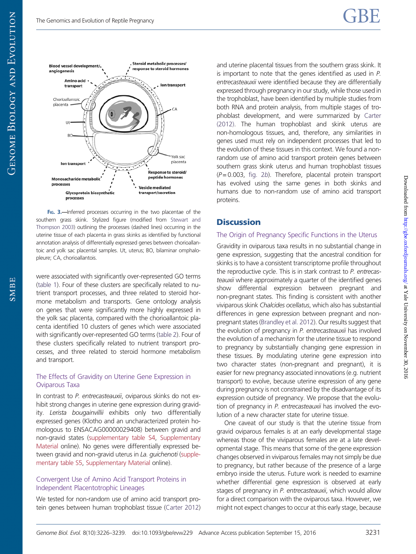<span id="page-5-0"></span>

FIG. 3.-Inferred processes occurring in the two placentae of the southern grass skink. Stylized figure (modified from [Stewart and](#page-13-0) [Thompson 2003\)](#page-13-0) outlining the processes (dashed lines) occurring in the uterine tissue of each placenta in grass skinks as identified by functional annotation analysis of differentially expressed genes between chorioallantoic and yolk sac placental samples. Ut, uterus; BO, bilaminar omphalopleure; CA, chorioallantois.

were associated with significantly over-represented GO terms [\(table 1](#page-6-0)). Four of these clusters are specifically related to nutrient transport processes, and three related to steroid hormone metabolism and transports. Gene ontology analysis on genes that were significantly more highly expressed in the yolk sac placenta, compared with the chorioallantoic placenta identified 10 clusters of genes which were associated with significantly over-represented GO terms ([table 2\)](#page-7-0). Four of these clusters specifically related to nutrient transport processes, and three related to steroid hormone metabolism and transport.

## The Effects of Gravidity on Uterine Gene Expression in Oviparous Taxa

In contrast to P. entrecasteauxii, oviparous skinks do not exhibit strong changes in uterine gene expression during gravidity. Lerista bougainvillii exhibits only two differentially expressed genes (Klotho and an uncharacterized protein homologous to ENSACAG00000029408) between gravid and non-gravid states [\(supplementary table S4](http://gbe.oxfordjournals.org/lookup/suppl/doi:10.1093/gbe/evw229/-/DC1), [Supplementary](http://gbe.oxfordjournals.org/lookup/suppl/doi:10.1093/gbe/evw229/-/DC1) [Material](http://gbe.oxfordjournals.org/lookup/suppl/doi:10.1093/gbe/evw229/-/DC1) online). No genes were differentially expressed be-tween gravid and non-gravid uterus in La. quichenoti [\(supple](http://gbe.oxfordjournals.org/lookup/suppl/doi:10.1093/gbe/evw229/-/DC1)[mentary table S5,](http://gbe.oxfordjournals.org/lookup/suppl/doi:10.1093/gbe/evw229/-/DC1) [Supplementary Material](http://gbe.oxfordjournals.org/lookup/suppl/doi:10.1093/gbe/evw229/-/DC1) online).

## Convergent Use of Amino Acid Transport Proteins in Independent Placentotrophic Lineages

We tested for non-random use of amino acid transport protein genes between human trophoblast tissue [\(Carter 2012\)](#page-12-0) and uterine placental tissues from the southern grass skink. It is important to note that the genes identified as used in P. entrecasteauxii were identified because they are differentially expressed through pregnancy in our study, while those used in the trophoblast, have been identified by multiple studies from both RNA and protein analysis, from multiple stages of trophoblast development, and were summarized by [Carter](#page-12-0) [\(2012\)](#page-12-0). The human trophoblast and skink uterus are non-homologous tissues, and, therefore, any similarities in genes used must rely on independent processes that led to the evolution of these tissues in this context. We found a nonrandom use of amino acid transport protein genes between southern grass skink uterus and human trophoblast tissues  $(P= 0.003,$  [fig. 2](#page-4-0)b). Therefore, placental protein transport has evolved using the same genes in both skinks and humans due to non-random use of amino acid transport proteins.

# **Discussion**

# The Origin of Pregnancy Specific Functions in the Uterus

Gravidity in oviparous taxa results in no substantial change in gene expression, suggesting that the ancestral condition for skinks is to have a consistent transcriptome profile throughout the reproductive cycle. This is in stark contrast to P. entrecasteauxii where approximately a quarter of the identified genes show differential expression between pregnant and non-pregnant states. This finding is consistent with another viviparous skink Chalcides ocellatus, which also has substantial differences in gene expression between pregnant and nonpregnant states ([Brandley et al. 2012](#page-12-0)). Our results suggest that the evolution of pregnancy in P. entrecasteauxii has involved the evolution of a mechanism for the uterine tissue to respond to pregnancy by substantially changing gene expression in these tissues. By modulating uterine gene expression into two character states (non-pregnant and pregnant), it is easier for new pregnancy associated innovations (e.g. nutrient transport) to evolve, because uterine expression of any gene during pregnancy is not constrained by the disadvantage of its expression outside of pregnancy. We propose that the evolution of pregnancy in P. entrecasteauxij has involved the evolution of a new character state for uterine tissue.

One caveat of our study is that the uterine tissue from gravid oviparous females is at an early developmental stage whereas those of the viviparous females are at a late developmental stage. This means that some of the gene expression changes observed in viviparous females may not simply be due to pregnancy, but rather because of the presence of a large embryo inside the uterus. Future work is needed to examine whether differential gene expression is observed at early stages of pregnancy in P. entrecasteauxii, which would allow for a direct comparison with the oviparous taxa. However, we might not expect changes to occur at this early stage, because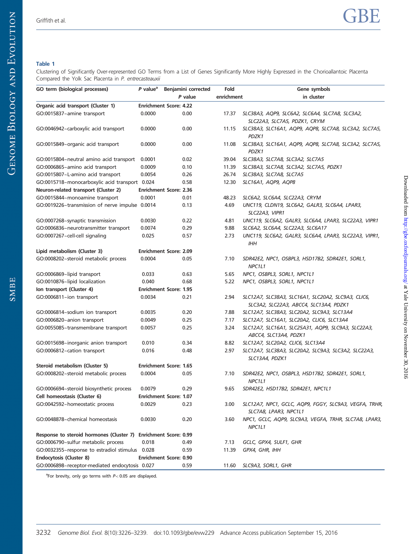## <span id="page-6-0"></span>Table 1

Clustering of Significantly Over-represented GO Terms from a List of Genes Significantly More Highly Expressed in the Chorioallantoic Placenta Compared the Yolk Sac Placenta in P. entrecasteauxii

| GO term (biological processes)                                        | $P$ value <sup>a</sup>        | Benjamini corrected | Fold       | Gene symbols                                          |  |  |  |  |
|-----------------------------------------------------------------------|-------------------------------|---------------------|------------|-------------------------------------------------------|--|--|--|--|
|                                                                       |                               | P value             | enrichment | in cluster                                            |  |  |  |  |
| Organic acid transport (Cluster 1)                                    | <b>Enrichment Score: 4.22</b> |                     |            |                                                       |  |  |  |  |
| GO:0015837~amine transport                                            | 0.0000                        | 0.00                | 17.37      | SLC38A3, AQP9, SLC6A2, SLC6A4, SLC7A8, SLC3A2,        |  |  |  |  |
|                                                                       |                               |                     |            | SLC22A3, SLC7A5, PDZK1, CRYM                          |  |  |  |  |
| GO:0046942~carboxylic acid transport                                  | 0.0000                        | 0.00                | 11.15      | SLC38A3, SLC16A1, AQP9, AQP8, SLC7A8, SLC3A2, SLC7A5, |  |  |  |  |
|                                                                       |                               |                     |            | PDZK1                                                 |  |  |  |  |
| GO:0015849~organic acid transport                                     | 0.0000                        | 0.00                | 11.08      | SLC38A3, SLC16A1, AQP9, AQP8, SLC7A8, SLC3A2, SLC7A5, |  |  |  |  |
|                                                                       |                               |                     |            | PDZK1                                                 |  |  |  |  |
| GO:0015804~neutral amino acid transport                               | 0.0001                        | 0.02                | 39.04      | SLC38A3, SLC7A8, SLC3A2, SLC7A5                       |  |  |  |  |
| GO:0006865~amino acid transport                                       | 0.0009                        | 0.10                | 11.39      | SLC38A3, SLC7A8, SLC3A2, SLC7A5, PDZK1                |  |  |  |  |
| GO:0015807~L-amino acid transport                                     | 0.0054                        | 0.26                | 26.74      | SLC38A3, SLC7A8, SLC7A5                               |  |  |  |  |
| GO:0015718~monocarboxylic acid transport 0.024                        |                               | 0.58                | 12.30      | SLC16A1, AQP9, AQP8                                   |  |  |  |  |
| Neuron-related transport (Cluster 2)<br><b>Enrichment Score: 2.36</b> |                               |                     |            |                                                       |  |  |  |  |
| GO:0015844~monoamine transport                                        | 0.0001                        | 0.01                | 48.23      | SLC6A2, SLC6A4, SLC22A3, CRYM                         |  |  |  |  |
| GO:0019226~transmission of nerve impulse 0.0014                       |                               | 0.13                | 4.69       | UNC119, CLDN19, SLC6A2, GALR3, SLC6A4, LPAR3,         |  |  |  |  |
|                                                                       |                               |                     |            | SLC22A3, VIPR1                                        |  |  |  |  |
| GO:0007268~synaptic transmission                                      | 0.0030                        | 0.22                | 4.81       | UNC119, SLC6A2, GALR3, SLC6A4, LPAR3, SLC22A3, VIPR1  |  |  |  |  |
| GO:0006836~neurotransmitter transport                                 | 0.0074                        | 0.29                | 9.88       | SLC6A2, SLC6A4, SLC22A3, SLC6A17                      |  |  |  |  |
| GO:0007267~cell-cell signaling                                        | 0.025                         | 0.57                | 2.73       | UNC119, SLC6A2, GALR3, SLC6A4, LPAR3, SLC22A3, VIPR1, |  |  |  |  |
|                                                                       |                               |                     |            | <b>IHH</b>                                            |  |  |  |  |
| Lipid metabolism (Cluster 3)                                          | <b>Enrichment Score: 2.09</b> |                     |            |                                                       |  |  |  |  |
| GO:0008202~steroid metabolic process                                  | 0.0004                        | 0.05                | 7.10       | SDR42E2, NPC1, OSBPL3, HSD17B2, SDR42E1, SORL1,       |  |  |  |  |
|                                                                       |                               |                     |            | NPC1L1                                                |  |  |  |  |
| GO:0006869~lipid transport                                            | 0.033                         | 0.63                | 5.65       | NPC1, OSBPL3, SORL1, NPC1L1                           |  |  |  |  |
| GO:0010876~lipid localization                                         | 0.040                         | 0.68                | 5.22       | NPC1, OSBPL3, SORL1, NPC1L1                           |  |  |  |  |
| Ion transport (Cluster 4)                                             | <b>Enrichment Score: 1.95</b> |                     |            |                                                       |  |  |  |  |
| GO:0006811~ion transport                                              | 0.0034                        | 0.21                | 2.94       | SLC12A7, SLC38A3, SLC16A1, SLC20A2, SLC9A3, CLIC6,    |  |  |  |  |
|                                                                       |                               |                     |            | SLC3A2, SLC22A3, ABCC4, SLC13A4, PDZK1                |  |  |  |  |
| GO:0006814~sodium ion transport                                       | 0.0035                        | 0.20                | 7.88       | SLC12A7, SLC38A3, SLC20A2, SLC9A3, SLC13A4            |  |  |  |  |
| GO:0006820~anion transport                                            | 0.0049                        | 0.25                | 7.17       | SLC12A7, SLC16A1, SLC20A2, CLIC6, SLC13A4             |  |  |  |  |
| GO:0055085~transmembrane transport                                    | 0.0057                        | 0.25                | 3.24       | SLC12A7, SLC16A1, SLC25A31, AQP9, SLC9A3, SLC22A3,    |  |  |  |  |
|                                                                       |                               |                     |            | ABCC4, SLC13A4, PDZK1                                 |  |  |  |  |
| GO:0015698~inorganic anion transport                                  | 0.010                         | 0.34                | 8.82       | SLC12A7, SLC20A2, CLIC6, SLC13A4                      |  |  |  |  |
| GO:0006812~cation transport                                           | 0.016                         | 0.48                | 2.97       | SLC12A7, SLC38A3, SLC20A2, SLC9A3, SLC3A2, SLC22A3,   |  |  |  |  |
|                                                                       |                               |                     |            | SLC13A4, PDZK1                                        |  |  |  |  |
| Steroid metabolism (Cluster 5)                                        | <b>Enrichment Score: 1.65</b> |                     |            |                                                       |  |  |  |  |
| GO:0008202~steroid metabolic process                                  | 0.0004                        | 0.05                | 7.10       | SDR42E2, NPC1, OSBPL3, HSD17B2, SDR42E1, SORL1,       |  |  |  |  |
|                                                                       |                               |                     |            | NPC <sub>1</sub> L <sub>1</sub>                       |  |  |  |  |
| GO:0006694~steroid biosynthetic process                               | 0.0079                        | 0.29                | 9.65       | SDR42E2, HSD17B2, SDR42E1, NPC1L1                     |  |  |  |  |
| Cell homeostasis (Cluster 6)                                          | <b>Enrichment Score: 1.07</b> |                     |            |                                                       |  |  |  |  |
| GO:0042592~homeostatic process                                        | 0.0029                        | 0.23                | 3.00       | SLC12A7, NPC1, GCLC, AQP9, FGGY, SLC9A3, VEGFA, TRHR, |  |  |  |  |
|                                                                       |                               |                     |            | SLC7A8, LPAR3, NPC1L1                                 |  |  |  |  |
| GO:0048878~chemical homeostasis                                       | 0.0030                        | 0.20                | 3.60       | NPC1, GCLC, AQP9, SLC9A3, VEGFA, TRHR, SLC7A8, LPAR3, |  |  |  |  |
|                                                                       |                               |                     |            | NPC1L1                                                |  |  |  |  |
| Response to steroid hormones (Cluster 7) Enrichment Score: 0.99       |                               |                     |            |                                                       |  |  |  |  |
| GO:0006790~sulfur metabolic process                                   | 0.018                         | 0.49                | 7.13       | GCLC, GPX4, SULF1, GHR                                |  |  |  |  |
| GO:0032355~response to estradiol stimulus                             | 0.028                         | 0.59                | 11.39      | GPX4, GHR, IHH                                        |  |  |  |  |
| Endocytosis (Cluster 8)                                               | <b>Enrichment Score: 0.90</b> |                     |            |                                                       |  |  |  |  |
| GO:0006898~receptor-mediated endocytosis 0.027                        |                               | 0.59                | 11.60      | SLC9A3, SORL1, GHR                                    |  |  |  |  |

<sup>a</sup>For brevity, only go terms with  $P < 0.05$  are displayed.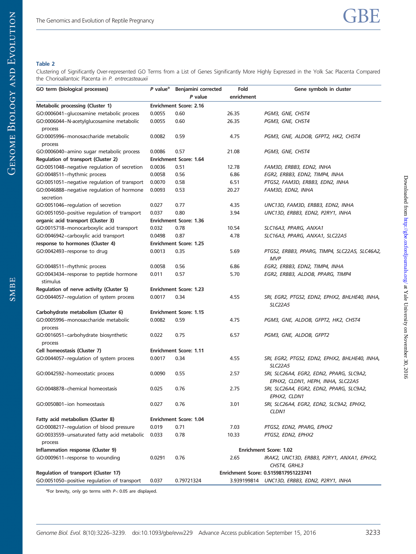## <span id="page-7-0"></span>Table 2

Clustering of Significantly Over-represented GO Terms from a List of Genes Significantly More Highly Expressed in the Yolk Sac Placenta Compared the Chorioallantoic Placenta in P. entrecasteauxii

| GO term (biological processes)                         | P value <sup>a</sup>          | Benjamini corrected           | Fold       | Gene symbols in cluster                                                       |  |  |
|--------------------------------------------------------|-------------------------------|-------------------------------|------------|-------------------------------------------------------------------------------|--|--|
|                                                        |                               | P value                       | enrichment |                                                                               |  |  |
| Metabolic processing (Cluster 1)                       |                               | <b>Enrichment Score: 2.16</b> |            |                                                                               |  |  |
| GO:0006041~glucosamine metabolic process               | 0.0055                        | 0.60                          | 26.35      | PGM3, GNE, CHST4                                                              |  |  |
| GO:0006044~N-acetylglucosamine metabolic<br>process    | 0.0055                        | 0.60                          | 26.35      | PGM3, GNE, CHST4                                                              |  |  |
| GO:0005996~monosaccharide metabolic                    | 0.0082                        | 0.59                          | 4.75       | PGM3, GNE, ALDOB, GFPT2, HK2, CHST4                                           |  |  |
| process                                                |                               |                               |            |                                                                               |  |  |
| GO:0006040~amino sugar metabolic process               | 0.0086                        | 0.57                          | 21.08      | PGM3, GNE, CHST4                                                              |  |  |
| Regulation of transport (Cluster 2)                    |                               | <b>Enrichment Score: 1.64</b> |            |                                                                               |  |  |
| GO:0051048~negative regulation of secretion            | 0.0036                        | 0.51                          | 12.78      | FAM3D, ERBB3, EDN2, INHA                                                      |  |  |
| GO:0048511~rhythmic process                            | 0.0058                        | 0.56                          | 6.86       | EGR2, ERBB3, EDN2, TIMP4, INHA                                                |  |  |
| GO:0051051~negative regulation of transport            | 0.0070                        | 0.58                          | 6.51       | PTGS2, FAM3D, ERBB3, EDN2, INHA                                               |  |  |
| GO:0046888~negative regulation of hormone<br>secretion | 0.0093                        | 0.53                          | 20.27      | FAM3D, EDN2, INHA                                                             |  |  |
| GO:0051046~regulation of secretion                     | 0.027                         | 0.77                          | 4.35       | UNC13D, FAM3D, ERBB3, EDN2, INHA                                              |  |  |
| GO:0051050~positive regulation of transport            | 0.037                         | 0.80                          | 3.94       | UNC13D, ERBB3, EDN2, P2RY1, INHA                                              |  |  |
| organic acid transport (Cluster 3)                     |                               | <b>Enrichment Score: 1.36</b> |            |                                                                               |  |  |
| GO:0015718~monocarboxylic acid transport               | 0.032                         | 0.78                          | 10.54      | SLC16A3, PPARG, ANXA1                                                         |  |  |
| GO:0046942~carboxylic acid transport                   | 0.0498                        | 0.87                          | 4.78       | SLC16A3, PPARG, ANXA1, SLC22A5                                                |  |  |
| response to hormones (Cluster 4)                       |                               | <b>Enrichment Score: 1.25</b> |            |                                                                               |  |  |
| GO:0042493~response to drug                            | 0.0013                        | 0.35                          | 5.69       | PTGS2, ERBB3, PPARG, TIMP4, SLC22A5, SLC46A2,<br><b>MVP</b>                   |  |  |
| GO:0048511~rhythmic process                            | 0.0058                        | 0.56                          | 6.86       | EGR2, ERBB3, EDN2, TIMP4, INHA                                                |  |  |
| GO:0043434~response to peptide hormone                 | 0.011                         | 0.57                          | 5.70       | EGR2, ERBB3, ALDOB, PPARG, TIMP4                                              |  |  |
| stimulus                                               |                               |                               |            |                                                                               |  |  |
| Regulation of nerve activity (Cluster 5)               |                               | <b>Enrichment Score: 1.23</b> |            |                                                                               |  |  |
| GO:0044057~regulation of system process                | 0.0017                        | 0.34                          | 4.55       | SRI, EGR2, PTGS2, EDN2, EPHX2, BHLHE40, INHA,<br>SLC22A5                      |  |  |
| Carbohydrate metabolism (Cluster 6)                    |                               | <b>Enrichment Score: 1.15</b> |            |                                                                               |  |  |
| GO:0005996~monosaccharide metabolic<br>process         | 0.0082                        | 0.59                          | 4.75       | PGM3, GNE, ALDOB, GFPT2, HK2, CHST4                                           |  |  |
| GO:0016051~carbohydrate biosynthetic<br>process        | 0.022                         | 0.75                          | 6.57       | PGM3, GNE, ALDOB, GFPT2                                                       |  |  |
| Cell homeostasis (Cluster 7)                           | <b>Enrichment Score: 1.11</b> |                               |            |                                                                               |  |  |
| GO:0044057~regulation of system process                | 0.0017                        | 0.34                          | 4.55       | SRI, EGR2, PTGS2, EDN2, EPHX2, BHLHE40, INHA,<br>SLC22A5                      |  |  |
| GO:0042592~homeostatic process                         | 0.0090                        | 0.55                          | 2.57       | SRI, SLC26A4, EGR2, EDN2, PPARG, SLC9A2,                                      |  |  |
| GO:0048878~chemical homeostasis                        | 0.025                         | 0.76                          | 2.75       | EPHX2, CLDN1, HEPH, INHA, SLC22A5<br>SRI, SLC26A4, EGR2, EDN2, PPARG, SLC9A2, |  |  |
| GO:0050801~ion homeostasis                             | 0.027                         | 0.76                          | 3.01       | EPHX2, CLDN1<br>SRI, SLC26A4, EGR2, EDN2, SLC9A2, EPHX2,                      |  |  |
|                                                        |                               |                               |            | CLDN1                                                                         |  |  |
| Fatty acid metabolism (Cluster 8)                      |                               | <b>Enrichment Score: 1.04</b> |            |                                                                               |  |  |
| GO:0008217~regulation of blood pressure                | 0.019                         | 0.71                          | 7.03       | PTGS2, EDN2, PPARG, EPHX2                                                     |  |  |
| GO:0033559~unsaturated fatty acid metabolic            | 0.033                         | 0.78                          | 10.33      | PTGS2, EDN2, EPHX2                                                            |  |  |
| process                                                |                               |                               |            |                                                                               |  |  |
| Inflammation response (Cluster 9)                      | <b>Enrichment Score: 1.02</b> |                               |            |                                                                               |  |  |
| $GO:0009611 \sim$ response to wounding                 | 0.0291                        | 0.76                          | 2.65       | IRAK2, UNC13D, ERBB3, P2RY1, ANXA1, EPHX2,<br>CHST4, GRHL3                    |  |  |
| Regulation of transport (Cluster 17)                   |                               |                               |            | Enrichment Score: 0.5159817951223741                                          |  |  |
| GO:0051050~positive regulation of transport            | 0.037                         | 0.79721324                    |            | 3.939199814 UNC13D, ERBB3, EDN2, P2RY1, INHA                                  |  |  |

<sup>a</sup>For brevity, only go terms with  $P < 0.05$  are displayed.

SMBE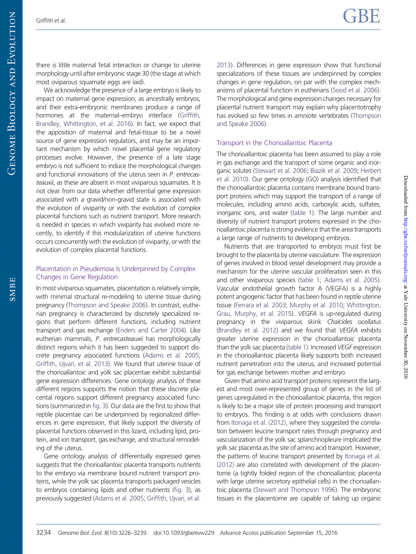there is little maternal fetal interaction or change to uterine morphology until after embryonic stage 30 (the stage at which most oviparous squamate eggs are laid).

We acknowledge the presence of a large embryo is likely to impact on maternal gene expression, as ancestrally embryos, and their extra-embryonic membranes produce a range of hormones at the maternal–embryo interface [\(Griffith,](#page-12-0) [Brandley, Whittington, et al. 2016\)](#page-12-0). In fact, we expect that the apposition of maternal and fetal-tissue to be a novel source of gene expression regulators, and may be an important mechanism by which novel placental gene regulatory processes evolve. However, the presence of a late stage embryo is not sufficient to induce the morphological changes and functional innovations of the uterus seen in P. entrecasteauxii, as these are absent in most viviparous squamates. It is not clear from our data whether differential gene expression associated with a gravid/non-gravid state is associated with the evolution of viviparity or with the evolution of complex placental functions such as nutrient transport. More research is needed in species in which viviparity has evolved more recently, to identify if this modularization of uterine functions occurs concurrently with the evolution of viviparity, or with the evolution of complex placental functions.

#### Placentation in Pseudemoia Is Underpinned by Complex Changes in Gene Regulation

In most viviparous squamates, placentation is relatively simple, with minimal structural re-modeling to uterine tissue during pregnancy [\(Thompson and Speake 2006\)](#page-13-0). In contrast, eutherian pregnancy is characterized by discretely specialized regions that perform different functions, including nutrient transport and gas exchange [\(Enders and Carter 2004\)](#page-12-0). Like eutherian mammals, P. entrecasteauxii has morphologically distinct regions which it has been suggested to support discrete pregnancy associated functions [\(Adams et al. 2005;](#page-11-0) [Griffith, Ujvari, et al. 2013\)](#page-12-0). We found that uterine tissue of the chorioallantoic and yolk sac placentae exhibit substantial gene expression differences. Gene ontology analysis of these different regions supports the notion that these discrete placental regions support different pregnancy associated functions (summarized in [fig. 3\)](#page-5-0). Our data are the first to show that reptile placentae can be underpinned by regionalized differences in gene expression, that likely support the diversity of placental functions observed in this lizard, including lipid, protein, and ion transport, gas exchange, and structural remodeling of the uterus.

Gene ontology analysis of differentially expressed genes suggests that the chorioallantoic placenta transports nutrients to the embryo via membrane bound nutrient transport proteins, while the yolk sac placenta transports packaged vesicles to embryos containing lipids and other nutrients [\(fig. 3\)](#page-5-0), as previously suggested ([Adams et al. 2005;](#page-11-0) [Griffith, Ujvari, et al.](#page-12-0)

[2013](#page-12-0)). Differences in gene expression show that functional specializations of these tissues are underpinned by complex changes in gene regulation, on par with the complex mechanisms of placental function in eutherians ([Sood et al. 2006\)](#page-13-0). The morphological and gene expression changes necessary for placental nutrient transport may explain why placentotrophy has evolved so few times in amniote vertebrates [\(Thompson](#page-13-0) [and Speake 2006](#page-13-0)).

# Transport in the Chorioallantoic Placenta

The chorioallantoic placenta has been assumed to play a role in gas exchange and the transport of some organic and inorganic solutes [\(Stewart et al. 2006;](#page-13-0) [Biazik et al. 2009](#page-12-0); [Herbert](#page-12-0) [et al. 2010](#page-12-0)). Our gene ontology (GO) analysis identified that the chorioallantoic placenta contains membrane bound transport proteins which may support the transport of a range of molecules, including amino acids, carboxylic acids, sulfates, inorganic ions, and water [\(table 1\)](#page-6-0). The large number and diversity of nutrient transport proteins expressed in the chorioallantoic placenta is strong evidence that the area transports a large range of nutrients to developing embryos.

Nutrients that are transported to embryos must first be brought to the placenta by uterine vasculature. The expression of genes involved in blood vessel development may provide a mechanism for the uterine vascular proliferation seen in this and other viviparous species ([table 1;](#page-6-0) [Adams et al. 2005\)](#page-11-0). Vascular endothelial growth factor A (VEGFA) is a highly potent angiogenic factor that has been found in reptile uterine tissue [\(Ferrara et al. 2003;](#page-12-0) [Murphy et al. 2010](#page-12-0); [Whittington,](#page-13-0) [Grau, Murphy, et al. 2015\)](#page-13-0). VEGFA is up-regulated during pregnancy in the viviparous skink Chalcides ocellatus ([Brandley et al. 2012\)](#page-12-0) and we found that VEGFA exhibits greater uterine expression in the chorioallantoic placenta than the yolk sac placenta ([table 1\)](#page-6-0). Increased VEGF expression in the chorioallantoic placenta likely supports both increased nutrient penetration into the uterus, and increased potential for gas exchange between mother and embryo.

Given that amino acid transport proteins represent the largest and most over-represented group of genes in the list of genes upregulated in the chorioallantoic placenta, this region is likely to be a major site of protein processing and transport to embryos. This finding is at odds with conclusions drawn from [Itonaga et al. \(2012\)](#page-12-0), where they suggested the correlation between leucine transport rates through pregnancy and vascularization of the yolk sac splanchnopleure implicated the yolk sac placenta as the site of amino acid transport. However, the patterns of leucine transport presented by [Itonaga et al.](#page-12-0) [\(2012\)](#page-12-0) are also correlated with development of the placentome (a tightly folded region of the chorioallantoic placenta with large uterine secretory epithelial cells) in the chorioallantoic placenta ([Stewart and Thompson 1996](#page-13-0)). The embryonic tissues in the placentome are capable of taking up organic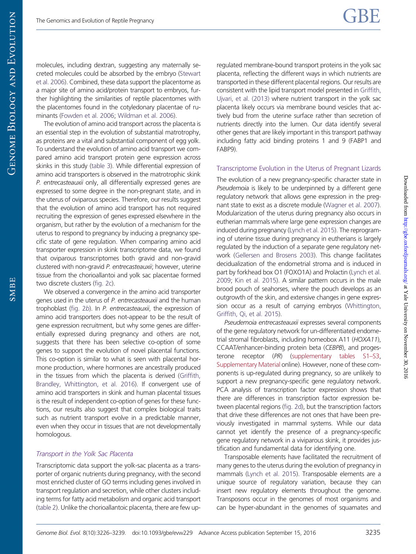molecules, including dextran, suggesting any maternally secreted molecules could be absorbed by the embryo ([Stewart](#page-13-0) [et al. 2006](#page-13-0)). Combined, these data support the placentome as a major site of amino acid/protein transport to embryos, further highlighting the similarities of reptile placentomes with the placentomes found in the cotyledonary placentae of ruminants ([Fowden et al. 2006;](#page-12-0) [Wildman et al. 2006\)](#page-13-0).

The evolution of amino acid transport across the placenta is an essential step in the evolution of substantial matrotrophy, as proteins are a vital and substantial component of egg yolk. To understand the evolution of amino acid transport we compared amino acid transport protein gene expression across skinks in this study [\(table 3](#page-10-0)). While differential expression of amino acid transporters is observed in the matrotrophic skink P. entrecasteauxii only, all differentially expressed genes are expressed to some degree in the non-pregnant state, and in the uterus of oviparous species. Therefore, our results suggest that the evolution of amino acid transport has not required recruiting the expression of genes expressed elsewhere in the organism, but rather by the evolution of a mechanism for the uterus to respond to pregnancy by inducing a pregnancy specific state of gene regulation. When comparing amino acid transporter expression in skink transcriptome data, we found that oviparous transcriptomes both gravid and non-gravid clustered with non-gravid P. entrecasteauxii; however, uterine tissue from the chorioallantoi and yolk sac placentae formed two discrete clusters ([fig. 2c](#page-4-0)).

We observed a convergence in the amino acid transporter genes used in the uterus of P. entrecasteauxii and the human trophoblast ([fig. 2](#page-4-0)b). In P. entrecasteauxii, the expression of amino acid transporters does not-appear to be the result of gene expression recruitment, but why some genes are differentially expressed during pregnancy and others are not, suggests that there has been selective co-option of some genes to support the evolution of novel placental functions. This co-option is similar to what is seen with placental hormone production, where hormones are ancestrally produced in the tissues from which the placenta is derived [\(Griffith,](#page-12-0) [Brandley, Whittington, et al. 2016](#page-12-0)). If convergent use of amino acid transporters in skink and human placental tissues is the result of independent co-option of genes for these functions, our results also suggest that complex biological traits such as nutrient transport evolve in a predictable manner, even when they occur in tissues that are not developmentally homologous.

#### Transport in the Yolk Sac Placenta

Transcriptomic data support the yolk-sac placenta as a transporter of organic nutrients during pregnancy, with the second most enriched cluster of GO terms including genes involved in transport regulation and secretion, while other clusters including terms for fatty acid metabolism and organic acid transport [\(table 2](#page-7-0)). Unlike the chorioallantoic placenta, there are few upregulated membrane-bound transport proteins in the yolk sac placenta, reflecting the different ways in which nutrients are transported in these different placental regions. Our results are consistent with the lipid transport model presented in [Griffith,](#page-12-0) [Ujvari, et al. \(2013\)](#page-12-0) where nutrient transport in the yolk sac placenta likely occurs via membrane bound vesicles that actively bud from the uterine surface rather than secretion of nutrients directly into the lumen. Our data identify several other genes that are likely important in this transport pathway including fatty acid binding proteins 1 and 9 (FABP1 and FABP9).

#### Transcriptome Evolution in the Uterus of Pregnant Lizards

The evolution of a new pregnancy-specific character state in Pseudemoia is likely to be underpinned by a different gene regulatory network that allows gene expression in the pregnant state to exist as a discrete module ([Wagner et al. 2007\)](#page-13-0). Modularization of the uterus during pregnancy also occurs in eutherian mammals where large gene expression changes are induced during pregnancy [\(Lynch et al. 2015](#page-12-0)). The reprograming of uterine tissue during pregnancy in eutherians is largely regulated by the induction of a separate gene regulatory network [\(Gellersen and Brosens 2003](#page-12-0)). This change facilitates decidualization of the endometrial stroma and is induced in part by forkhead box O1 (FOXO1A) and Prolactin ([Lynch et al.](#page-12-0) [2009](#page-12-0); [Kin et al. 2015\)](#page-12-0). A similar pattern occurs in the male brood pouch of seahorses, where the pouch develops as an outgrowth of the skin, and extensive changes in gene expression occur as a result of carrying embryos ([Whittington,](#page-13-0) [Griffith, Qi, et al. 2015\)](#page-13-0).

Pseudemoia entrecasteauxii expresses several components of the gene regulatory network for un-differentiated endometrial stromal fibroblasts, including homeobox A11 (HOXA11), CCAAT/enhancer-binding protein beta (CEBPB), and progesterone receptor (PR) [\(supplementary tables S1–S3](http://gbe.oxfordjournals.org/lookup/suppl/doi:10.1093/gbe/evw229/-/DC1), [Supplementary Material](http://gbe.oxfordjournals.org/lookup/suppl/doi:10.1093/gbe/evw229/-/DC1) online). However, none of these components is up-regulated during pregnancy, so are unlikely to support a new pregnancy-specific gene regulatory network. PCA analysis of transcription factor expression shows that there are differences in transcription factor expression between placental regions ([fig. 2d\)](#page-4-0), but the transcription factors that drive these differences are not ones that have been previously investigated in mammal systems. While our data cannot yet identify the presence of a pregnancy-specific gene regulatory network in a viviparous skink, it provides justification and fundamental data for identifying one.

Transposable elements have facilitated the recruitment of many genes to the uterus during the evolution of pregnancy in mammals [\(Lynch et al. 2015](#page-12-0)). Transposable elements are a unique source of regulatory variation, because they can insert new regulatory elements throughout the genome. Transposons occur in the genomes of most organisms and can be hyper-abundant in the genomes of squamates and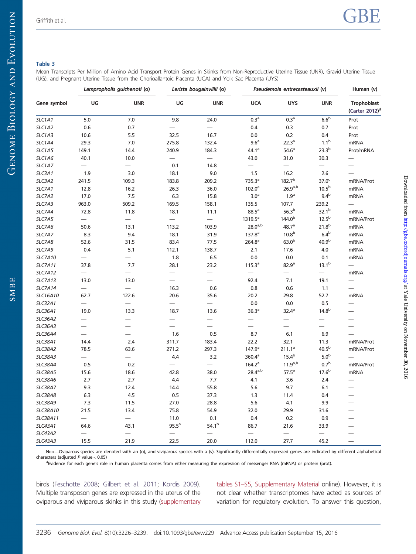## <span id="page-10-0"></span>Table 3

Mean Transcripts Per Million of Amino Acid Transport Protein Genes in Skinks from Non-Reproductive Uterine Tissue (UNR), Gravid Uterine Tissue (UG), and Pregnant Uterine Tissue from the Chorioallantoic Placenta (UCA) and Yolk Sac Placenta (UYS)

| Gene symbol     | Lampropholis guichenoti (o) |                          | Lerista bougainvillii (o) |                          | Pseudemoia entrecasteauxii (v) |                          |                          | Human (v)                                        |
|-----------------|-----------------------------|--------------------------|---------------------------|--------------------------|--------------------------------|--------------------------|--------------------------|--------------------------------------------------|
|                 | UG                          | <b>UNR</b>               | UG                        | <b>UNR</b>               | <b>UCA</b>                     | <b>UYS</b>               | <b>UNR</b>               | <b>Trophoblast</b><br>(Carter 2012) <sup>d</sup> |
| SLC1A1          | 5.0                         | 7.0                      | 9.8                       | 24.0                     | 0.3 <sup>a</sup>               | 0.3 <sup>a</sup>         | 6.6 <sup>b</sup>         | Prot                                             |
| SLC1A2          | 0.6                         | 0.7                      | $\overline{\phantom{0}}$  | $\overline{\phantom{0}}$ | 0.4                            | 0.3                      | 0.7                      | Prot                                             |
| SLC1A3          | 10.6                        | 5.5                      | 32.5                      | 16.7                     | 0.0                            | 0.2                      | 0.4                      | Prot                                             |
| SLC1A4          | 29.3                        | 7.0                      | 275.8                     | 132.4                    | 9.6 <sup>a</sup>               | 22.3 <sup>a</sup>        | $1.1^{b}$                | <b>mRNA</b>                                      |
| SLC1A5          | 149.1                       | 14.4                     | 240.9                     | 184.3                    | 44.1 <sup>a</sup>              | 54.6 <sup>a</sup>        | 23.3 <sup>b</sup>        | Prot/mRNA                                        |
| SLC1A6          | 40.1                        | 10.0                     |                           | $\overline{\phantom{0}}$ | 43.0                           | 31.0                     | 30.3                     |                                                  |
| SLC1A7          |                             |                          | 0.1                       | 14.8                     |                                |                          |                          |                                                  |
| SLC3A1          | 1.9                         | 3.0                      | 18.1                      | 9.0                      | 1.5                            | 16.2                     | 2.6                      |                                                  |
| SLC3A2          | 241.5                       | 109.3                    | 183.8                     | 209.2                    | 735.3 <sup>a</sup>             | 182.7 <sup>b</sup>       | 37.0 <sup>c</sup>        | mRNA/Prot                                        |
| SLC7A1          | 12.8                        | 16.2                     | 26.3                      | 36.0                     | $102.0^{\circ}$                | $26.9^{a,b}$             | 10.5 <sup>b</sup>        | <b>mRNA</b>                                      |
| SLC7A2          | 17.0                        | 7.5                      | 6.3                       | 15.8                     | 3.0 <sup>a</sup>               | 1.9 <sup>a</sup>         | 9.4 <sup>b</sup>         | <b>mRNA</b>                                      |
| SLC7A3          | 963.0                       | 509.2                    | 169.5                     | 158.1                    | 135.5                          | 107.7                    | 239.2                    |                                                  |
| SLC7A4          | 72.8                        | 11.8                     | 18.1                      | 11.1                     | 88.5 <sup>a</sup>              | 56.3 <sup>b</sup>        | 32.1 <sup>b</sup>        | <b>mRNA</b>                                      |
| SLC7A5          | $\overline{\phantom{0}}$    |                          |                           | $\overline{\phantom{0}}$ | $1319.5^a$                     | 144.0 <sup>b</sup>       | $12.5^{b}$               | mRNA/Prot                                        |
| SLC7A6          | 50.6                        | 13.1                     | 113.2                     | 103.9                    | $28.0^{a,b}$                   | 48.7 <sup>a</sup>        | 21.8 <sup>b</sup>        | <b>mRNA</b>                                      |
| SLC7A7          | 8.3                         | 9.4                      | 18.1                      | 31.9                     | 137.8 <sup>a</sup>             | 10.8 <sup>b</sup>        | 6.4 <sup>b</sup>         | <b>mRNA</b>                                      |
| SLC7A8          | 52.6                        | 31.5                     | 83.4                      | 77.5                     | 264.8 <sup>a</sup>             | 63.0 <sup>b</sup>        | $40.9^{b}$               | <b>mRNA</b>                                      |
| SLC7A9          | 0.4                         | 5.1                      | 112.1                     | 138.7                    | 2.1                            | 17.6                     | 4.0                      | <b>mRNA</b>                                      |
| SLC7A10         |                             | $\overline{\phantom{0}}$ | 1.8                       | 6.5                      | 0.0                            | 0.0                      | 0.1                      | <b>mRNA</b>                                      |
| <b>SLC7A11</b>  | 37.8                        | 7.7                      | 28.1                      | 23.2                     | 115.3 <sup>a</sup>             | 82.9 <sup>a</sup>        | 13.1 <sup>b</sup>        |                                                  |
| <b>SLC7A12</b>  | $\overline{\phantom{0}}$    | $\overline{\phantom{0}}$ | $\overline{\phantom{0}}$  | $\overline{\phantom{0}}$ |                                |                          |                          | <b>mRNA</b>                                      |
| <b>SLC7A13</b>  | 13.0                        | 13.0                     | $\overline{\phantom{0}}$  |                          | 92.4                           | 7.1                      | 19.1                     |                                                  |
| <b>SLC7A14</b>  | $\overline{\phantom{0}}$    | $\overline{\phantom{0}}$ | 16.3                      | 0.6                      | 0.8                            | 0.6                      | 1.1                      |                                                  |
| <b>SLC16A10</b> | 62.7                        | 122.6                    | 20.6                      | 35.6                     | 20.2                           | 29.8                     | 52.7                     | <b>mRNA</b>                                      |
| <b>SLC32A1</b>  |                             | $\overline{\phantom{0}}$ |                           | $\overline{\phantom{0}}$ | 0.0                            | 0.0                      | 0.5                      |                                                  |
| <b>SLC36A1</b>  | 19.0                        | 13.3                     | 18.7                      | 13.6                     | 36.3 <sup>a</sup>              | 32.4 <sup>a</sup>        | $14.8^{b}$               |                                                  |
| <b>SLC36A2</b>  |                             |                          |                           |                          |                                |                          |                          |                                                  |
| <b>SLC36A3</b>  | $\overline{\phantom{0}}$    | $\overline{\phantom{0}}$ | $\overline{\phantom{0}}$  | $\overline{\phantom{0}}$ | $\overline{\phantom{0}}$       | $\overline{\phantom{0}}$ | $\overline{\phantom{0}}$ |                                                  |
| <b>SLC36A4</b>  | $\overline{\phantom{0}}$    | $\overline{\phantom{0}}$ | 1.6                       | 0.5                      | 8.7                            | 6.1                      | 6.9                      |                                                  |
| <b>SLC38A1</b>  | 14.4                        | 2.4                      | 311.7                     | 183.4                    | 22.2                           | 32.1                     | 11.3                     | mRNA/Prot                                        |
| <b>SLC38A2</b>  | 78.5                        | 63.6                     | 271.2                     | 297.3                    | 147.9 <sup>a</sup>             | 211.1 <sup>a</sup>       | $40.5^{b}$               | mRNA/Prot                                        |
| <b>SLC38A3</b>  |                             |                          | 4.4                       | 3.2                      | 360.4 <sup>a</sup>             | $15.4^{b}$               | 5.0 <sup>b</sup>         |                                                  |
| <b>SLC38A4</b>  | 0.5                         | 0.2                      |                           |                          | 164.2 <sup>a</sup>             | $11.9^{a,b}$             | 0.7 <sup>b</sup>         | mRNA/Prot                                        |
| <b>SLC38A5</b>  | 15.6                        | 18.6                     | 42.8                      | 38.0                     | $28.4^{a,b}$                   | $57.5^{\circ}$           | 17.6 <sup>b</sup>        | <b>mRNA</b>                                      |
| <b>SLC38A6</b>  | 2.7                         | 2.7                      | 4.4                       | 7.7                      | 4.1                            | 3.6                      | 2.4                      | $\overline{\phantom{0}}$                         |
| <b>SLC38A7</b>  | 9.3                         | 12.4                     | 14.4                      | 55.8                     | 5.6                            | 9.7                      | 6.1                      | $\overline{\phantom{0}}$                         |
| <b>SLC38A8</b>  | 6.3                         | 4.5                      | 0.5                       | 37.3                     | 1.3                            | 11.4                     | 0.4                      |                                                  |
| <b>SLC38A9</b>  | 7.3                         | 11.5                     | 27.0                      | 28.8                     | 5.6                            | 4.1                      | 9.9                      |                                                  |
| SLC38A10        | 21.5                        | 13.4                     | 75.8                      | 54.9                     | 32.0                           | 29.9                     | 31.6                     |                                                  |
| SLC38A11        |                             |                          | 11.0                      | 0.1                      | 0.4                            | 0.2                      | 0.9                      |                                                  |
| <b>SLC43A1</b>  | 64.6                        | 43.1                     | 95.5 <sup>a</sup>         | 54.1 <sup>b</sup>        | 86.7                           | 21.6                     | 33.9                     | ÷.                                               |
| <b>SLC43A2</b>  | $\overline{\phantom{0}}$    | $\qquad \qquad -$        | $\overline{\phantom{0}}$  | $\overline{\phantom{0}}$ | $\overline{\phantom{0}}$       | $\overline{\phantom{0}}$ | $\overline{\phantom{0}}$ |                                                  |
| SLC43A3         | 15.5                        | 21.9                     | 22.5                      | 20.0                     | 112.0                          | 27.7                     | 45.2                     |                                                  |

Downloaded from http://gbe.oxfordjournals.org/ at Yale University on November 30, 2016 Downloaded from <http://gbe.oxfordjournals.org/> at Yale University on November 30, 2016

Nort-Oviparous species are denoted with an (o), and viviparous species with a (v). Significantly differentially expressed genes are indicated by different alphabetical characters (adjusted  $P$  value < 0.05)

dEvidence for each gene's role in human placenta comes from either measuring the expression of messenger RNA (mRNA) or protein (prot).

birds [\(Feschotte 2008;](#page-12-0) [Gilbert et al. 2011](#page-12-0); [Kordis 2009](#page-12-0)). Multiple transposon genes are expressed in the uterus of the oviparous and viviparous skinks in this study ([supplementary](http://gbe.oxfordjournals.org/lookup/suppl/doi:10.1093/gbe/evw229/-/DC1) [tables S1–S5,](http://gbe.oxfordjournals.org/lookup/suppl/doi:10.1093/gbe/evw229/-/DC1) [Supplementary Material](http://gbe.oxfordjournals.org/lookup/suppl/doi:10.1093/gbe/evw229/-/DC1) online). However, it is not clear whether transcriptomes have acted as sources of variation for regulatory evolution. To answer this question,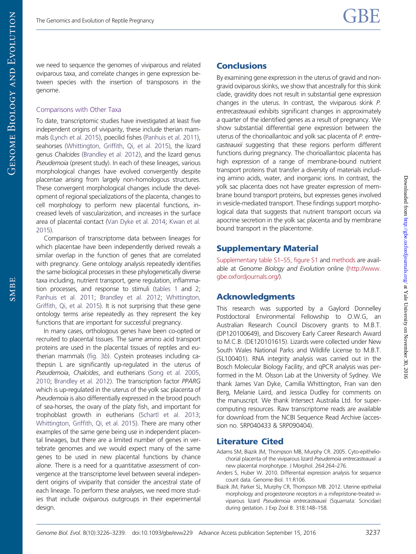<span id="page-11-0"></span>we need to sequence the genomes of viviparous and related oviparous taxa, and correlate changes in gene expression between species with the insertion of transposons in the genome.

#### Comparisons with Other Taxa

To date, transcriptomic studies have investigated at least five independent origins of viviparity, these include therian mammals ([Lynch et al. 2015\)](#page-12-0), poecilid fishes [\(Panhuis et al. 2011](#page-12-0)), seahorses [\(Whittington, Griffith, Qi, et al. 2015](#page-13-0)), the lizard genus Chalcides ([Brandley et al. 2012\)](#page-12-0), and the lizard genus Pseudemoia (present study). In each of these lineages, various morphological changes have evolved convergently despite placentae arising from largely non-homologous structures. These convergent morphological changes include the development of regional specializations of the placenta, changes to cell morphology to perform new placental functions, increased levels of vascularization, and increases in the surface area of placental contact [\(Van Dyke et al. 2014;](#page-13-0) [Kwan et al.](#page-12-0) [2015\)](#page-12-0).

Comparison of transcriptome data between lineages for which placentae have been independently derived reveals a similar overlap in the function of genes that are correlated with pregnancy. Gene ontology analysis repeatedly identifies the same biological processes in these phylogenetically diverse taxa including, nutrient transport, gene regulation, inflammation processes, and response to stimuli ([tables 1](#page-6-0) and [2;](#page-7-0) [Panhuis et al. 2011](#page-12-0); [Brandley et al. 2012](#page-12-0); [Whittington,](#page-13-0) [Griffith, Qi, et al. 2015\)](#page-13-0). It is not surprising that these gene ontology terms arise repeatedly as they represent the key functions that are important for successful pregnancy.

In many cases, orthologous genes have been co-opted or recruited to placental tissues. The same amino acid transport proteins are used in the placental tissues of reptiles and eutherian mammals [\(fig. 3](#page-5-0)b). Cystein proteases including cathepsin L are significantly up-regulated in the uterus of Pseudemoia, Chalcides, and eutherians [\(Song et al. 2005,](#page-13-0) [2010;](#page-13-0) [Brandley et al. 2012\)](#page-12-0). The transcription factor PPARG which is up-regulated in the uterus of the yolk sac placenta of Pseudemoia is also differentially expressed in the brood pouch of sea-horses, the ovary of the platy fish, and important for trophoblast growth in eutherians [\(Schartl et al. 2013;](#page-12-0) [Whittington, Griffith, Qi, et al. 2015](#page-13-0)). There are many other examples of the same gene being use in independent placental lineages, but there are a limited number of genes in vertebrate genomes and we would expect many of the same genes to be used in new placental functions by chance alone. There is a need for a quantitative assessment of convergence at the transcriptome level between several independent origins of viviparity that consider the ancestral state of each lineage. To perform these analyses, we need more studies that include oviparous outgroups in their experimental design.

# **Conclusions**

By examining gene expression in the uterus of gravid and nongravid oviparous skinks, we show that ancestrally for this skink clade, gravidity does not result in substantial gene expression changes in the uterus. In contrast, the viviparous skink P. entrecasteauxii exhibits significant changes in approximately a quarter of the identified genes as a result of pregnancy. We show substantial differential gene expression between the uterus of the chorioallantoic and yolk sac placenta of P. entrecasteauxii suggesting that these regions perform different functions during pregnancy. The chorioallantoic placenta has high expression of a range of membrane-bound nutrient transport proteins that transfer a diversity of materials including amino acids, water, and inorganic ions. In contrast, the yolk sac placenta does not have greater expression of membrane bound transport proteins, but expresses genes involved in vesicle-mediated transport. These findings support morphological data that suggests that nutrient transport occurs via apocrine secretion in the yolk sac placenta and by membrane bound transport in the placentome.

# Supplementary Material

[Supplementary table S1–S5, figure S1](http://gbe.oxfordjournals.org/lookup/suppl/doi:10.1093/gbe/evw229/-/DC1) and [methods](http://gbe.oxfordjournals.org/lookup/suppl/doi:10.1093/gbe/evw229/-/DC1) are available at Genome Biology and Evolution online ([http://www.](http://www.gbe.oxfordjournals.org/) [gbe.oxfordjournals.org/\)](http://www.gbe.oxfordjournals.org/).

# Acknowledgments

This research was supported by a Gaylord Donnelley Postdoctoral Environmental Fellowship to O.W.G, an Australian Research Council Discovery grants to M.B.T. (DP120100649), and Discovery Early Career Research Award to M.C.B. (DE120101615). Lizards were collected under New South Wales National Parks and Wildlife License to M.B.T. (SL100401). RNA integrity analysis was carried out in the Bosch Molecular Biology Facility, and qPCR analysis was performed in the M. Olsson Lab at the University of Sydney. We thank James Van Dyke, Camilla Whittington, Fran van den Berg, Melanie Laird, and Jessica Dudley for comments on the manuscript. We thank Intersect Australia Ltd. for supercomputing resources. Raw transcriptome reads are available for download from the NCBI Sequence Read Archive (accession no. SRP040433 & SRP090404).

## Literature Cited

- Adams SM, Biazik JM, Thompson MB, Murphy CR. 2005. Cyto-epitheliochorial placenta of the viviparous lizard Pseudemoia entrecasteauxii: a new placental morphotype. J Morphol. 264:264–276.
- Anders S, Huber W. 2010. Differential expression analysis for sequence count data. Genome Biol. 11:R106.
- Biazik JM, Parker SL, Murphy CR, Thompson MB. 2012. Uterine epithelial morphology and progesterone receptors in a mifepristone-treated viviparous lizard Pseudemoia entrecasteauxii (Squamata: Scincidae) during gestation. J Exp Zool B. 318:148–158.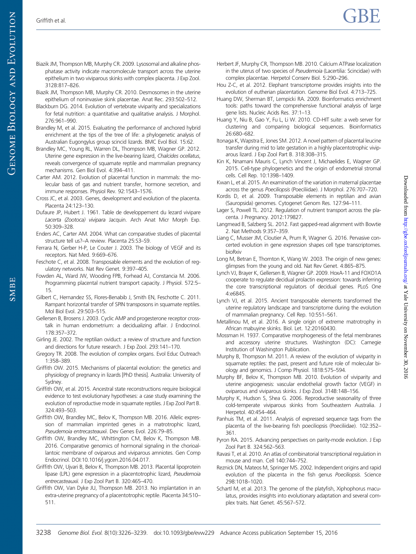- <span id="page-12-0"></span>Biazik JM, Thompson MB, Murphy CR. 2009. Lysosomal and alkaline phosphatase activity indicate macromolecule transport across the uterine epithelium in two viviparous skinks with complex placenta. J Exp Zool. 312B:817–826.
- Biazik JM, Thompson MB, Murphy CR. 2010. Desmosomes in the uterine epithelium of noninvasive skink placentae. Anat Rec. 293:502–512.
- Blackburn DG. 2014. Evolution of vertebrate viviparity and specializations for fetal nutrition: a quantitative and qualitative analysis. J Morphol. 276:961–990.
- Brandley M, et al. 2015. Evaluating the performance of anchored hybrid enrichment at the tips of the tree of life: a phylogenetic analysis of Australian Eugongylus group scincid lizards. BMC Evol Biol. 15:62.
- Brandley MC, Young RL, Warren DL, Thompson MB, Wagner GP. 2012. Uterine gene expression in the live-bearing lizard, Chalcides ocellatus, reveals convergence of squamate reptile and mammalian pregnancy mechanisms. Gen Biol Evol. 4:394–411.
- Carter AM. 2012. Evolution of placental function in mammals: the molecular basis of gas and nutrient transfer, hormone secretion, and immune responses. Physiol Rev. 92:1543–1576.
- Cross JC, et al. 2003. Genes, development and evolution of the placenta. Placenta 24:123–130.
- Dufaure JP, Hubert J. 1961. Table de developpement du lezard vivipare Lacerta (Zootoca) vivipara Jacquin. Arch Anat Micr Morph Exp. 50:309–328.
- Enders AC, Carter AM. 2004. What can comparative studies of placental structure tell us?–A review. Placenta 25:S3–S9.
- Ferrara N, Gerber H-P, Le Couter J. 2003. The biology of VEGF and its receptors. Nat Med. 9:669–676.
- Feschote C, et al. 2008. Transposable elements and the evolution of regulatory networks. Nat Rev Genet. 9:397–405.
- Fowden AL, Ward JW, Wooding FPB, Forhead AJ, Constancia M. 2006. Programming placental nutrient transport capacity. J Physiol. 572:5– 15.
- Gilbert C, Hernandez SS, Flores-Benabib J, Smith EN, Feschotte C. 2011. Rampant horizontal transfer of SPIN transposons in squamate reptiles. Mol Biol Evol. 29:503–515.
- Gellersen B, Brosens J. 2003. Cyclic AMP and progesterone receptor crosstalk in human endometrium: a decidualizing affair. J Endocrinol. 178:357–372.
- Girling JE. 2002. The reptilian oviduct: a review of structure and function and directions for future research. J Exp Zool. 293:141–170.
- Gregory TR. 2008. The evolution of complex organs. Evol Educ Outreach 1:358–389.
- Griffith OW. 2015. Mechanisms of placental evolution: the genetics and physiology of pregnancy in lizards [PhD thesis]. Australia: University of Sydney.
- Griffith OW, et al. 2015. Ancestral state reconstructions require biological evidence to test evolutionary hypotheses: a case study examining the evolution of reproductive mode in squamate reptiles. J Exp Zool Part B. 324:493–503.
- Griffith OW, Brandley MC, Belov K, Thompson MB. 2016. Allelic expression of mammalian imprinted genes in a matrotrophic lizard, Pseudemoia entrecasteauxii. Dev Genes Evol. 226:79–85.
- Griffith OW, Brandley MC, Whittington CM, Belov K, Thompson MB. 2016. Comparative genomics of hormonal signaling in the chorioallantoic membrane of oviparous and viviparous amniotes. Gen Comp Endocrinol. DOI:10.1016/j.ygcen.2016.04.017.
- Griffith OW, Ujvari B, Belov K, Thompson MB. 2013. Placental lipoprotein lipase (LPL) gene expression in a placentotrophic lizard, Pseudemoia entrecasteauxii. J Exp Zool Part B. 320:465–470.
- Griffith OW, Van Dyke JU, Thompson MB. 2013. No implantation in an extra-uterine pregnancy of a placentotrophic reptile. Placenta 34:510– 511.
- Herbert JF, Murphy CR, Thompson MB. 2010. Calcium ATPase localization in the uterus of two species of Pseudemoia (Lacertilia: Scincidae) with complex placentae. Herpetol Conserv Biol. 5:290–296.
- Hou Z-C, et al. 2012. Elephant transcriptome provides insights into the evolution of eutherian placentation. Genome Biol Evol. 4:713–725.
- Huang DW, Sherman BT, Lempicki RA. 2009. Bioinformatics enrichment tools: paths toward the comprehensive functional analysis of large gene lists. Nucleic Acids Res. 37:1–13.
- Huang Y, Niu B, Gao Y, Fu L, Li W. 2010. CD-HIT suite: a web server for clustering and comparing biological sequences. Bioinformatics 26:680–682.
- Itonaga K, Wapstra E, Jones SM. 2012. A novel pattern of placental leucine transfer during mid to late gestation in a highly placentotrophic viviparous lizard. J Exp Zool Part B. 318:308–315.
- Kin K, Nnamani Mauris C, Lynch Vincent J, Michaelides E, Wagner GP. 2015. Cell-type phylogenetics and the origin of endometrial stromal cells. Cell Rep. 10:1398–1409.
- Kwan L, et al. 2015. An examination of the variation in maternal placentae across the genus Poeciliopsis (Poeciliidae). J Morphol. 276:707–720.
- Kordis D, et al. 2009. Transposable elements in reptilian and avian (Sauropsida) genomes. Cytogenet Genom Res. 127:94–111.
- Lager S, Powell TL. 2012. Regulation of nutrient transport across the placenta. J Pregnancy. 2012:179827.
- Langmead B, Salzberg SL. 2012. Fast gapped-read alignment with Bowtie 2. Nat Methods 9:357–359.
- Liang C, Musser JM, Cloutier A, Prum R, Wagner G. 2016. Pervasive concerted evolution in gene expression shapes cell type transcriptomes. bioRxiv
- Long M, Betran E, Thornton K, Wang W. 2003. The origin of new genes: glimpses from the young and old. Nat Rev Genet. 4:865–875.
- Lynch VJ, Brayer K, Gellersen B, Wagner GP. 2009. HoxA-11 and FOXO1A cooperate to regulate decidual prolactin expression: towards inferring the core transcriptional regulators of decidual genes. PLoS One 4:e6845.
- Lynch VJ, et al. 2015. Ancient transposable elements transformed the uterine regulatory landscape and transcriptome during the evolution of mammalian pregnancy. Cell Rep. 10:551–561.
- Metallinou M, et al. 2016. A single origin of extreme matrotrophy in African mabuyine skinks. Biol. Let. 12:20160430.
- Mossman H. 1937. Comparative morphogenesis of the fetal membranes and accessory uterine structures. Washington (DC): Carnegie Institution of Washington Publication.
- Murphy B, Thompson M. 2011. A review of the evolution of viviparity in squamate reptiles: the past, present and future role of molecular biology and genomics. J Comp Physiol. 181B:575–594.
- Murphy BF, Belov K, Thompson MB. 2010. Evolution of viviparity and uterine angiogenesis: vascular endothelial growth factor (VEGF) in oviparous and viviparous skinks. J Exp Zool. 314B:148–156.
- Murphy K, Hudson S, Shea G. 2006. Reproductive seasonality of three cold-temperate viviparous skinks from Southeastern Australia. J Herpetol. 40:454–464.
- Panhuis TM, et al. 2011. Analysis of expressed sequence tags from the placenta of the live-bearing fish poeciliopsis (Poeciliidae). 102:352– 361.
- Pyron RA. 2015. Advancing perspectives on parity-mode evolution. J Exp Zool Part B. 324:562–563.
- Ravasi T, et al. 2010. An atlas of combinatorial transcriptional regulation in mouse and man. Cell 140:744–752.
- Reznick DN, Mateos M, Springer MS. 2002. Independent origins and rapid evolution of the placenta in the fish genus Poeciliopsis. Science 298:1018–1020.
- Schartl M, et al. 2013. The genome of the platyfish, Xiphophorus maculatus, provides insights into evolutionary adaptation and several complex traits. Nat Genet. 45:567–572.